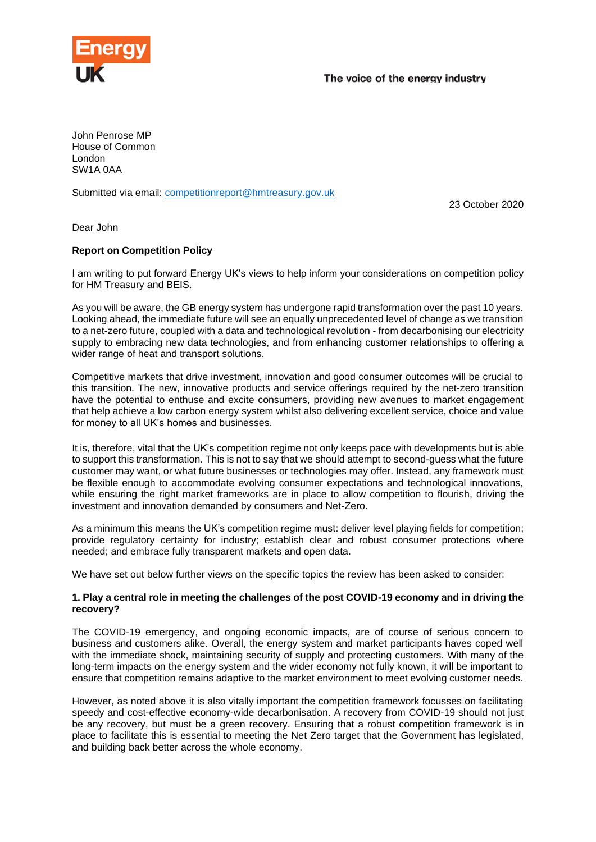

John Penrose MP House of Common London SW1A 0AA

Submitted via email: [competitionreport@hmtreasury.gov.uk](mailto:competitionreport@hmtreasury.gov.uk)

23 October 2020

Dear John

# **Report on Competition Policy**

I am writing to put forward Energy UK's views to help inform your considerations on competition policy for HM Treasury and BEIS.

As you will be aware, the GB energy system has undergone rapid transformation over the past 10 years. Looking ahead, the immediate future will see an equally unprecedented level of change as we transition to a net-zero future, coupled with a data and technological revolution - from decarbonising our electricity supply to embracing new data technologies, and from enhancing customer relationships to offering a wider range of heat and transport solutions.

Competitive markets that drive investment, innovation and good consumer outcomes will be crucial to this transition. The new, innovative products and service offerings required by the net-zero transition have the potential to enthuse and excite consumers, providing new avenues to market engagement that help achieve a low carbon energy system whilst also delivering excellent service, choice and value for money to all UK's homes and businesses.

It is, therefore, vital that the UK's competition regime not only keeps pace with developments but is able to support this transformation. This is not to say that we should attempt to second-guess what the future customer may want, or what future businesses or technologies may offer. Instead, any framework must be flexible enough to accommodate evolving consumer expectations and technological innovations, while ensuring the right market frameworks are in place to allow competition to flourish, driving the investment and innovation demanded by consumers and Net-Zero.

As a minimum this means the UK's competition regime must: deliver level playing fields for competition; provide regulatory certainty for industry; establish clear and robust consumer protections where needed; and embrace fully transparent markets and open data.

We have set out below further views on the specific topics the review has been asked to consider:

### **1. Play a central role in meeting the challenges of the post COVID-19 economy and in driving the recovery?**

The COVID-19 emergency, and ongoing economic impacts, are of course of serious concern to business and customers alike. Overall, the energy system and market participants haves coped well with the immediate shock, maintaining security of supply and protecting customers. With many of the long-term impacts on the energy system and the wider economy not fully known, it will be important to ensure that competition remains adaptive to the market environment to meet evolving customer needs.

However, as noted above it is also vitally important the competition framework focusses on facilitating speedy and cost-effective economy-wide decarbonisation. A recovery from COVID-19 should not just be any recovery, but must be a green recovery. Ensuring that a robust competition framework is in place to facilitate this is essential to meeting the Net Zero target that the Government has legislated, and building back better across the whole economy.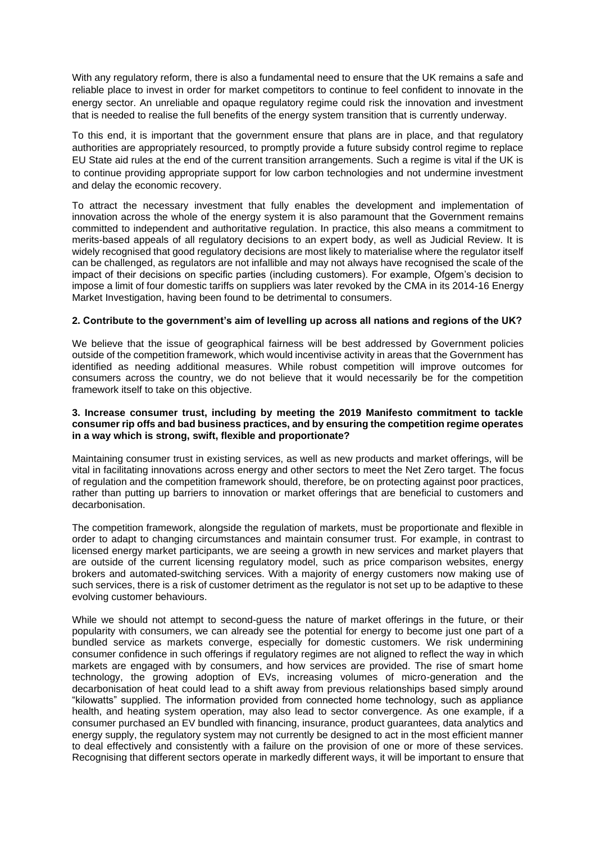With any regulatory reform, there is also a fundamental need to ensure that the UK remains a safe and reliable place to invest in order for market competitors to continue to feel confident to innovate in the energy sector. An unreliable and opaque regulatory regime could risk the innovation and investment that is needed to realise the full benefits of the energy system transition that is currently underway.

To this end, it is important that the government ensure that plans are in place, and that regulatory authorities are appropriately resourced, to promptly provide a future subsidy control regime to replace EU State aid rules at the end of the current transition arrangements. Such a regime is vital if the UK is to continue providing appropriate support for low carbon technologies and not undermine investment and delay the economic recovery.

To attract the necessary investment that fully enables the development and implementation of innovation across the whole of the energy system it is also paramount that the Government remains committed to independent and authoritative regulation. In practice, this also means a commitment to merits-based appeals of all regulatory decisions to an expert body, as well as Judicial Review. It is widely recognised that good regulatory decisions are most likely to materialise where the regulator itself can be challenged, as regulators are not infallible and may not always have recognised the scale of the impact of their decisions on specific parties (including customers). For example, Ofgem's decision to impose a limit of four domestic tariffs on suppliers was later revoked by the CMA in its 2014-16 Energy Market Investigation, having been found to be detrimental to consumers.

# **2. Contribute to the government's aim of levelling up across all nations and regions of the UK?**

We believe that the issue of geographical fairness will be best addressed by Government policies outside of the competition framework, which would incentivise activity in areas that the Government has identified as needing additional measures. While robust competition will improve outcomes for consumers across the country, we do not believe that it would necessarily be for the competition framework itself to take on this objective.

## **3. Increase consumer trust, including by meeting the 2019 Manifesto commitment to tackle consumer rip offs and bad business practices, and by ensuring the competition regime operates in a way which is strong, swift, flexible and proportionate?**

Maintaining consumer trust in existing services, as well as new products and market offerings, will be vital in facilitating innovations across energy and other sectors to meet the Net Zero target. The focus of regulation and the competition framework should, therefore, be on protecting against poor practices, rather than putting up barriers to innovation or market offerings that are beneficial to customers and decarbonisation.

The competition framework, alongside the regulation of markets, must be proportionate and flexible in order to adapt to changing circumstances and maintain consumer trust. For example, in contrast to licensed energy market participants, we are seeing a growth in new services and market players that are outside of the current licensing regulatory model, such as price comparison websites, energy brokers and automated-switching services. With a majority of energy customers now making use of such services, there is a risk of customer detriment as the regulator is not set up to be adaptive to these evolving customer behaviours.

While we should not attempt to second-guess the nature of market offerings in the future, or their popularity with consumers, we can already see the potential for energy to become just one part of a bundled service as markets converge, especially for domestic customers. We risk undermining consumer confidence in such offerings if regulatory regimes are not aligned to reflect the way in which markets are engaged with by consumers, and how services are provided. The rise of smart home technology, the growing adoption of EVs, increasing volumes of micro-generation and the decarbonisation of heat could lead to a shift away from previous relationships based simply around "kilowatts" supplied. The information provided from connected home technology, such as appliance health, and heating system operation, may also lead to sector convergence. As one example, if a consumer purchased an EV bundled with financing, insurance, product guarantees, data analytics and energy supply, the regulatory system may not currently be designed to act in the most efficient manner to deal effectively and consistently with a failure on the provision of one or more of these services. Recognising that different sectors operate in markedly different ways, it will be important to ensure that